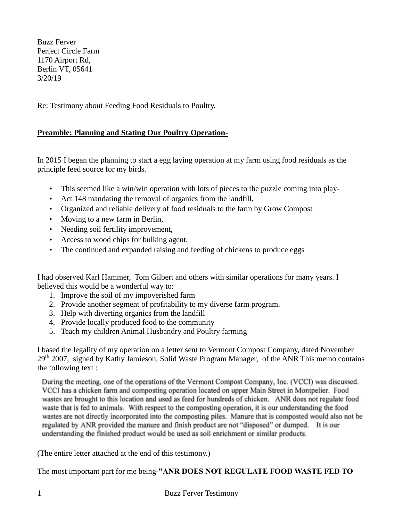Buzz Ferver Perfect Circle Farm 1170 Airport Rd, Berlin VT, 05641 3/20/19

Re: Testimony about Feeding Food Residuals to Poultry.

## **Preamble: Planning and Stating Our Poultry Operation-**

In 2015 I began the planning to start a egg laying operation at my farm using food residuals as the principle feed source for my birds.

- This seemed like a win/win operation with lots of pieces to the puzzle coming into play-
- Act 148 mandating the removal of organics from the landfill,
- Organized and reliable delivery of food residuals to the farm by Grow Compost
- Moving to a new farm in Berlin,
- Needing soil fertility improvement,
- Access to wood chips for bulking agent.
- The continued and expanded raising and feeding of chickens to produce eggs

I had observed Karl Hammer, Tom Gilbert and others with similar operations for many years. I believed this would be a wonderful way to:

- 1. Improve the soil of my impoverished farm
- 2. Provide another segment of profitability to my diverse farm program.
- 3. Help with diverting organics from the landfill
- 4. Provide locally produced food to the community
- 5. Teach my children Animal Husbandry and Poultry farming

I based the legality of my operation on a letter sent to Vermont Compost Company, dated November 29<sup>th</sup> 2007, signed by Kathy Jamieson, Solid Waste Program Manager, of the ANR This memo contains the following text :

During the meeting, one of the operations of the Vermont Compost Company, Inc. (VCCI) was discussed. VCCI has a chicken farm and composting operation located on upper Main Street in Montpelier. Food wastes are brought to this location and used as feed for hundreds of chicken. ANR does not regulate food waste that is fed to animals. With respect to the composting operation, it is our understanding the food wastes are not directly incorporated into the composting piles. Manure that is composted would also not be regulated by ANR provided the manure and finish product are not "disposed" or dumped. It is our understanding the finished product would be used as soil enrichment or similar products.

(The entire letter attached at the end of this testimony.)

The most important part for me being-**"ANR DOES NOT REGULATE FOOD WASTE FED TO**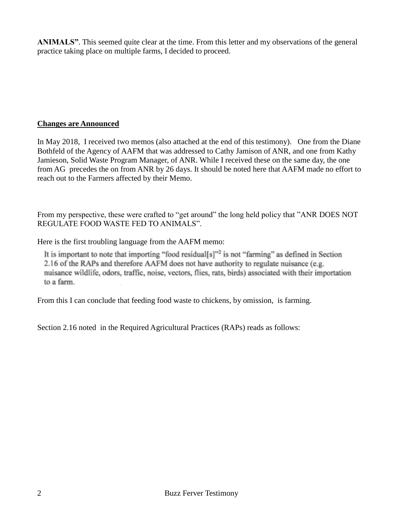**ANIMALS"**. This seemed quite clear at the time. From this letter and my observations of the general practice taking place on multiple farms, I decided to proceed.

## **Changes are Announced**

In May 2018, I received two memos (also attached at the end of this testimony). One from the Diane Bothfeld of the Agency of AAFM that was addressed to Cathy Jamison of ANR, and one from Kathy Jamieson, Solid Waste Program Manager, of ANR. While I received these on the same day, the one from AG precedes the on from ANR by 26 days. It should be noted here that AAFM made no effort to reach out to the Farmers affected by their Memo.

From my perspective, these were crafted to "get around" the long held policy that "ANR DOES NOT" REGULATE FOOD WASTE FED TO ANIMALS".

Here is the first troubling language from the AAFM memo:

It is important to note that importing "food residual[s]"<sup>2</sup> is not "farming" as defined in Section 2.16 of the RAPs and therefore AAFM does not have authority to regulate nuisance (e.g. nuisance wildlife, odors, traffic, noise, vectors, flies, rats, birds) associated with their importation to a farm.

From this I can conclude that feeding food waste to chickens, by omission, is farming.

Section 2.16 noted in the Required Agricultural Practices (RAPs) reads as follows: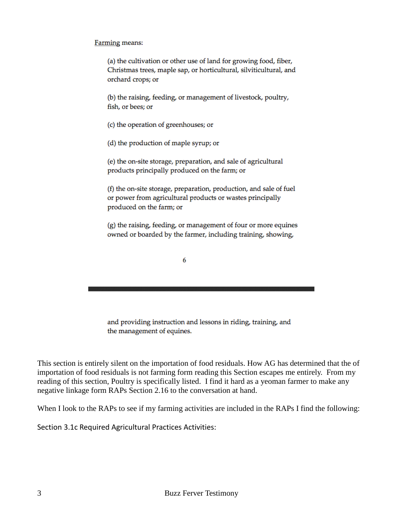## Farming means:

(a) the cultivation or other use of land for growing food, fiber, Christmas trees, maple sap, or horticultural, silviticultural, and orchard crops; or

(b) the raising, feeding, or management of livestock, poultry, fish, or bees; or

(c) the operation of greenhouses; or

(d) the production of maple syrup; or

(e) the on-site storage, preparation, and sale of agricultural products principally produced on the farm; or

(f) the on-site storage, preparation, production, and sale of fuel or power from agricultural products or wastes principally produced on the farm; or

(g) the raising, feeding, or management of four or more equines owned or boarded by the farmer, including training, showing,

6

and providing instruction and lessons in riding, training, and the management of equines.

This section is entirely silent on the importation of food residuals. How AG has determined that the of importation of food residuals is not farming form reading this Section escapes me entirely. From my reading of this section, Poultry is specifically listed. I find it hard as a yeoman farmer to make any negative linkage form RAPs Section 2.16 to the conversation at hand.

When I look to the RAPs to see if my farming activities are included in the RAPs I find the following:

Section 3.1c Required Agricultural Practices Activities: